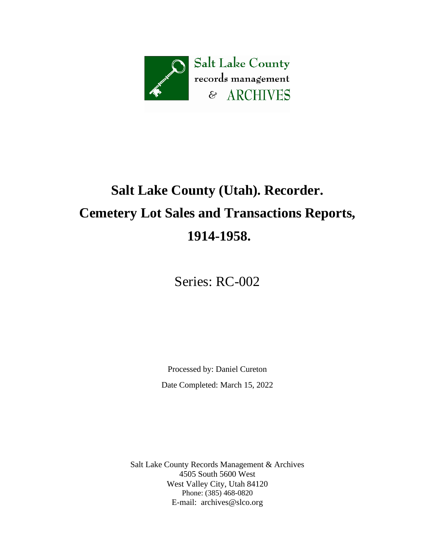

# **Salt Lake County (Utah). Recorder. Cemetery Lot Sales and Transactions Reports, 1914-1958.**

Series: RC-002

Processed by: Daniel Cureton Date Completed: March 15, 2022

Salt Lake County Records Management & Archives 4505 South 5600 West West Valley City, Utah 84120 Phone: (385) 468-0820 E-mail: [archives@slco.org](mailto:archives@slco.org)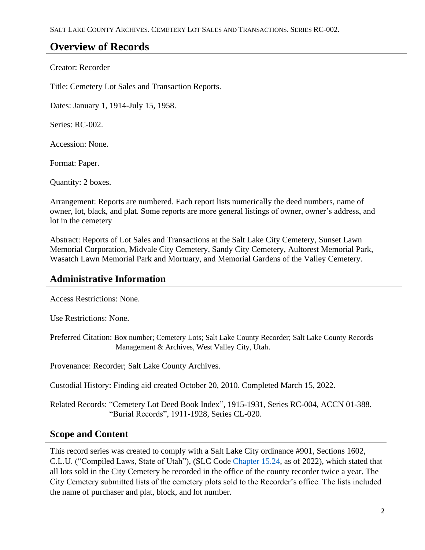## **Overview of Records**

Creator: Recorder

Title: Cemetery Lot Sales and Transaction Reports.

Dates: January 1, 1914-July 15, 1958.

Series: RC-002.

Accession: None.

Format: Paper.

Quantity: 2 boxes.

Arrangement: Reports are numbered. Each report lists numerically the deed numbers, name of owner, lot, black, and plat. Some reports are more general listings of owner, owner's address, and lot in the cemetery

Abstract: Reports of Lot Sales and Transactions at the Salt Lake City Cemetery, Sunset Lawn Memorial Corporation, Midvale City Cemetery, Sandy City Cemetery, Aultorest Memorial Park, Wasatch Lawn Memorial Park and Mortuary, and Memorial Gardens of the Valley Cemetery.

### **Administrative Information**

Access Restrictions: None.

Use Restrictions: None.

Preferred Citation: Box number; Cemetery Lots; Salt Lake County Recorder; Salt Lake County Records Management & Archives, West Valley City, Utah.

Provenance: Recorder; Salt Lake County Archives.

Custodial History: Finding aid created October 20, 2010. Completed March 15, 2022.

Related Records: "Cemetery Lot Deed Book Index", 1915-1931, Series RC-004, ACCN 01-388. "Burial Records", 1911-1928, Series CL-020.

#### **Scope and Content**

This record series was created to comply with a Salt Lake City ordinance #901, Sections 1602, C.L.U. ("Compiled Laws, State of Utah"), (SLC Code [Chapter 15.24,](https://codelibrary.amlegal.com/codes/saltlakecityut/latest/saltlakecity_ut/0-0-0-56232) as of 2022), which stated that all lots sold in the City Cemetery be recorded in the office of the county recorder twice a year. The City Cemetery submitted lists of the cemetery plots sold to the Recorder's office. The lists included the name of purchaser and plat, block, and lot number.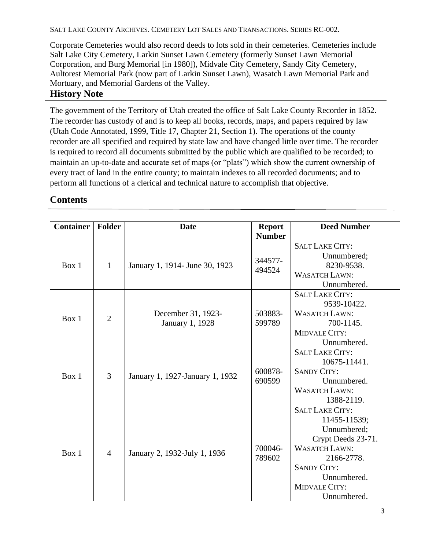SALT LAKE COUNTY ARCHIVES. CEMETERY LOT SALES AND TRANSACTIONS. SERIES RC-002.

Corporate Cemeteries would also record deeds to lots sold in their cemeteries. Cemeteries include Salt Lake City Cemetery, Larkin Sunset Lawn Cemetery (formerly Sunset Lawn Memorial Corporation, and Burg Memorial [in 1980]), Midvale City Cemetery, Sandy City Cemetery, Aultorest Memorial Park (now part of Larkin Sunset Lawn), Wasatch Lawn Memorial Park and Mortuary, and Memorial Gardens of the Valley.

**History Note**

The government of the Territory of Utah created the office of Salt Lake County Recorder in 1852. The recorder has custody of and is to keep all books, records, maps, and papers required by law (Utah Code Annotated, 1999, Title 17, Chapter 21, Section 1). The operations of the county recorder are all specified and required by state law and have changed little over time. The recorder is required to record all documents submitted by the public which are qualified to be recorded; to maintain an up-to-date and accurate set of maps (or "plats") which show the current ownership of every tract of land in the entire county; to maintain indexes to all recorded documents; and to perform all functions of a clerical and technical nature to accomplish that objective.

## **Contents**

| <b>Container</b> | Folder         | <b>Date</b>                           | <b>Report</b>     | <b>Deed Number</b>     |
|------------------|----------------|---------------------------------------|-------------------|------------------------|
|                  |                |                                       | <b>Number</b>     |                        |
| Box 1            | $\mathbf{1}$   | January 1, 1914- June 30, 1923        | 344577-<br>494524 | <b>SALT LAKE CITY:</b> |
|                  |                |                                       |                   | Unnumbered;            |
|                  |                |                                       |                   | 8230-9538.             |
|                  |                |                                       |                   | <b>WASATCH LAWN:</b>   |
|                  |                |                                       |                   | Unnumbered.            |
| Box 1            | $\overline{2}$ | December 31, 1923-<br>January 1, 1928 | 503883-<br>599789 | <b>SALT LAKE CITY:</b> |
|                  |                |                                       |                   | 9539-10422.            |
|                  |                |                                       |                   | <b>WASATCH LAWN:</b>   |
|                  |                |                                       |                   | 700-1145.              |
|                  |                |                                       |                   | <b>MIDVALE CITY:</b>   |
|                  |                |                                       |                   | Unnumbered.            |
| Box 1            | 3              | January 1, 1927-January 1, 1932       | 600878-<br>690599 | <b>SALT LAKE CITY:</b> |
|                  |                |                                       |                   | 10675-11441.           |
|                  |                |                                       |                   | <b>SANDY CITY:</b>     |
|                  |                |                                       |                   | Unnumbered.            |
|                  |                |                                       |                   | <b>WASATCH LAWN:</b>   |
|                  |                |                                       |                   | 1388-2119.             |
| Box 1            | $\overline{4}$ | January 2, 1932-July 1, 1936          | 700046-<br>789602 | <b>SALT LAKE CITY:</b> |
|                  |                |                                       |                   | 11455-11539;           |
|                  |                |                                       |                   | Unnumbered;            |
|                  |                |                                       |                   | Crypt Deeds 23-71.     |
|                  |                |                                       |                   | <b>WASATCH LAWN:</b>   |
|                  |                |                                       |                   | 2166-2778.             |
|                  |                |                                       |                   | <b>SANDY CITY:</b>     |
|                  |                |                                       |                   | Unnumbered.            |
|                  |                |                                       |                   | <b>MIDVALE CITY:</b>   |
|                  |                |                                       |                   | Unnumbered.            |